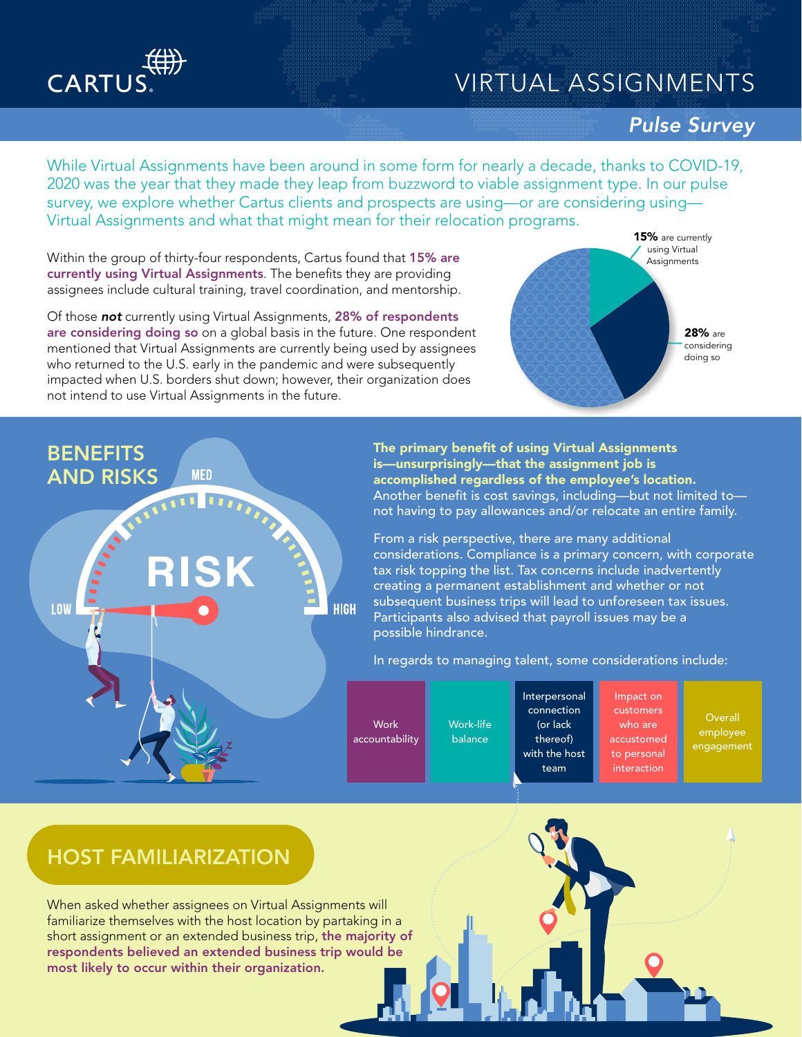## VIRTUAL ASSIGNMENTS

# CARTUS

BENEFITS AND RISKS

**LOW** 

#### *Pulse Survey*

15% are currently While Virtual Assignments have been around in some form for nearly a decade, thanks to COVID-19, 2020 was the year that they made they leap from buzzword to viable assignment type. In our pulse survey, we explore whether Cartus clients and prospects are using—or are considering using— Virtual Assignments and what that might mean for their relocation programs.

Within the group of thirty-four respondents, Cartus found that 15% are currently using Virtual Assignments. The benefits they are providing assignees include cultural training, travel coordination, and mentorship.

Of those *not* currently using Virtual Assignments, 28% of respondents are considering doing so on a global basis in the future. One respondent mentioned that Virtual Assignments are currently being used by assignees who returned to the U.S. early in the pandemic and were subsequently impacted when U.S. borders shut down; however, their organization does not intend to use Virtual Assignments in the future.

**MFD** 

28% are considering doing so using Virtual **Assignments** 

The primary benefit of using Virtual Assignments is—unsurprisingly—that the assignment job is accomplished regardless of the employee's location. Another benefit is cost savings, including—but not limited to not having to pay allowances and/or relocate an entire family.

From a risk perspective, there are many additional considerations. Compliance is a primary concern, with corporate tax risk topping the list. Tax concerns include inadvertently creating a permanent establishment and whether or not subsequent business trips will lead to unforeseen tax issues. Participants also advised that payroll issues may be a possible hindrance.

In regards to managing talent, some considerations include:

**Work** accountability

**HIGH** 

Work-life balance

Interpersonal connection (or lack thereof) with the host team Impact on customers accustomed to personal interaction

who are

**Overall** employee engagement

## HOST FAMILIARIZATION

When asked whether assignees on Virtual Assignments will familiarize themselves with the host location by partaking in a short assignment or an extended business trip, the majority of respondents believed an extended business trip would be most likely to occur within their organization.